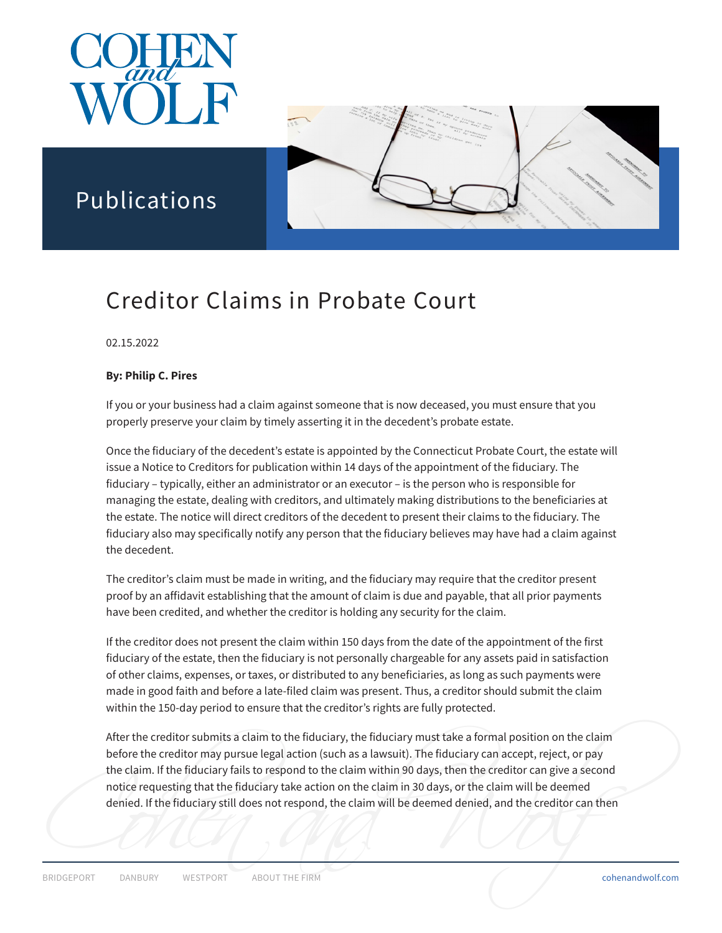

Publications



# Creditor Claims in Probate Court

02.15.2022

### **By: Philip C. Pires**

If you or your business had a claim against someone that is now deceased, you must ensure that you properly preserve your claim by timely asserting it in the decedent's probate estate.

Once the fiduciary of the decedent's estate is appointed by the Connecticut Probate Court, the estate will issue a Notice to Creditors for publication within 14 days of the appointment of the fiduciary. The fiduciary – typically, either an administrator or an executor – is the person who is responsible for managing the estate, dealing with creditors, and ultimately making distributions to the beneficiaries at the estate. The notice will direct creditors of the decedent to present their claims to the fiduciary. The fiduciary also may specifically notify any person that the fiduciary believes may have had a claim against the decedent.

The creditor's claim must be made in writing, and the fiduciary may require that the creditor present proof by an affidavit establishing that the amount of claim is due and payable, that all prior payments have been credited, and whether the creditor is holding any security for the claim.

If the creditor does not present the claim within 150 days from the date of the appointment of the first fiduciary of the estate, then the fiduciary is not personally chargeable for any assets paid in satisfaction of other claims, expenses, or taxes, or distributed to any beneficiaries, as long as such payments were made in good faith and before a late-filed claim was present. Thus, a creditor should submit the claim within the 150-day period to ensure that the creditor's rights are fully protected.

EXERIBGEPORT DANBURY WESTPORT ABOUT THE FIRM COHENAL COMPANY COMPANY COMPANY COMPANY COMPANY REST PORT ABOUT THE FIRM After the creditor submits a claim to the fiduciary, the fiduciary must take a formal position on the claim before the creditor may pursue legal action (such as a lawsuit). The fiduciary can accept, reject, or pay the claim. If the fiduciary fails to respond to the claim within 90 days, then the creditor can give a second notice requesting that the fiduciary take action on the claim in 30 days, or the claim will be deemed denied. If the fiduciary still does not respond, the claim will be deemed denied, and the creditor can then